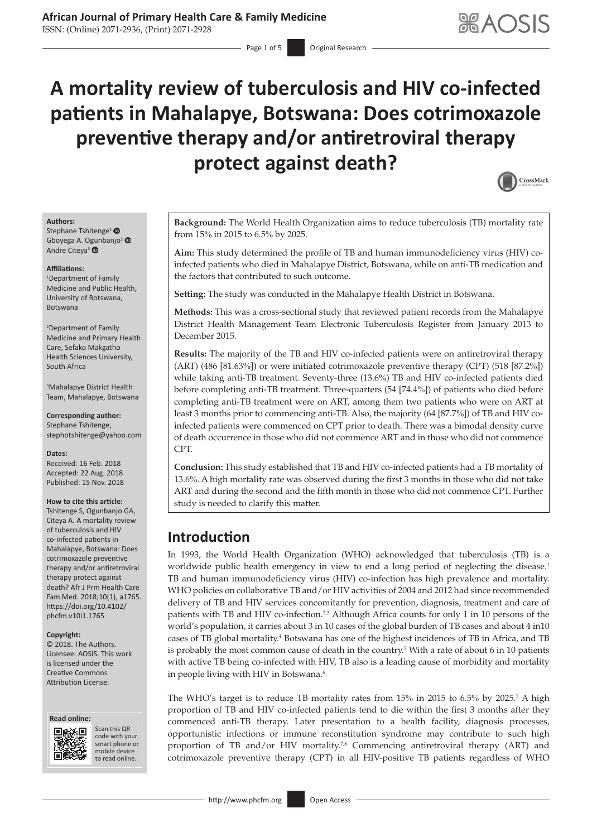ISSN: (Online) 2071-2936, (Print) 2071-2928

Page 1 of 5 **Original Research** 

# **A mortality review of tuberculosis and HIV co-infected patients in Mahalapye, Botswana: Does cotrimoxazole preventive therapy and/or antiretroviral therapy protect against death?**



### **Authors:**

Stephane Tshitenge<sup>[1](https://orcid.org/0000-0002-7646-6443)</sup> <sup>®</sup> Gboyega A. [Ogun](https://orcid.org/0000-0001-6787-3090)banjo[2](https://orcid.org/0000-0002-8256-6571) Andre Citeya<sup>3</sup>

### **Affiliations:**

1 Department of Family Medicine and Public Health, University of Botswana, Botswana

2 Department of Family Medicine and Primary Health Care, Sefako Makgatho Health Sciences University, South Africa

3 Mahalapye District Health Team, Mahalapye, Botswana

**Corresponding author:** Stephane Tshitenge, [stephotshitenge@yahoo.com](mailto:stephotshitenge@yahoo.com)

### **Dates:**

Received: 16 Feb. 2018 Accepted: 22 Aug. 2018 Published: 15 Nov. 2018

### **How to cite this article:**

Tshitenge S, Ogunbanjo GA, Citeya A. A mortality review of tuberculosis and HIV co-infected patients in Mahalapye, Botswana: Does cotrimoxazole preventive therapy and/or antiretroviral therapy protect against death? Afr J Prm Health Care Fam Med. 2018;10(1), a1765. [https://doi.org/10.4102/](https://doi.org/10.4102/phcfm.v10i1.1765) [phcfm.v10i1.1765](https://doi.org/10.4102/phcfm.v10i1.1765)

### **Copyright:**

© 2018. The Authors. Licensee: AOSIS. This work is licensed under the Creative Commons Attribution License.





Scan this QR code with your Scan this QR<br>code with your<br>smart phone or<br>mobile device mobile device to read online. to read online.

**Background:** The World Health Organization aims to reduce tuberculosis (TB) mortality rate from 15% in 2015 to 6.5% by 2025.

**Aim:** This study determined the profile of TB and human immunodeficiency virus (HIV) coinfected patients who died in Mahalapye District, Botswana, while on anti-TB medication and the factors that contributed to such outcome.

**Setting:** The study was conducted in the Mahalapye Health District in Botswana.

**Methods:** This was a cross-sectional study that reviewed patient records from the Mahalapye District Health Management Team Electronic Tuberculosis Register from January 2013 to December 2015.

**Results:** The majority of the TB and HIV co-infected patients were on antiretroviral therapy (ART) (486 [81.63%]) or were initiated cotrimoxazole preventive therapy (CPT) (518 [87.2%]) while taking anti-TB treatment. Seventy-three (13.6%) TB and HIV co-infected patients died before completing anti-TB treatment. Three-quarters (54 [74.4%]) of patients who died before completing anti-TB treatment were on ART, among them two patients who were on ART at least 3 months prior to commencing anti-TB. Also, the majority (64 [87.7%]) of TB and HIV coinfected patients were commenced on CPT prior to death. There was a bimodal density curve of death occurrence in those who did not commence ART and in those who did not commence CPT.

**Conclusion:** This study established that TB and HIV co-infected patients had a TB mortality of 13.6%. A high mortality rate was observed during the first 3 months in those who did not take ART and during the second and the fifth month in those who did not commence CPT. Further study is needed to clarify this matter.

# **Introduction**

In 1993, the World Health Organization (WHO) acknowledged that tuberculosis (TB) is a worldwide public health emergency in view to end a long period of neglecting the disease.<sup>1</sup> TB and human immunodeficiency virus (HIV) co-infection has high prevalence and mortality. WHO policies on collaborative TB and/or HIV activities of 2004 and 2012 had since recommended delivery of TB and HIV services concomitantly for prevention, diagnosis, treatment and care of patients with TB and HIV co-infection.<sup>2,3</sup> Although Africa counts for only 1 in 10 persons of the world's population, it carries about 3 in 10 cases of the global burden of TB cases and about 4 in10 cases of TB global mortality.<sup>4</sup> Botswana has one of the highest incidences of TB in Africa, and TB is probably the most common cause of death in the country.<sup>5</sup> With a rate of about 6 in 10 patients with active TB being co-infected with HIV, TB also is a leading cause of morbidity and mortality in people living with HIV in Botswana.<sup>6</sup>

The WHO's target is to reduce TB mortality rates from  $15\%$  in 2015 to 6.5% by 2025.<sup>1</sup> A high proportion of TB and HIV co-infected patients tend to die within the first 3 months after they commenced anti-TB therapy. Later presentation to a health facility, diagnosis processes, opportunistic infections or immune reconstitution syndrome may contribute to such high proportion of TB and/or HIV mortality.<sup>7,8</sup> Commencing antiretroviral therapy (ART) and cotrimoxazole preventive therapy (CPT) in all HIV-positive TB patients regardless of WHO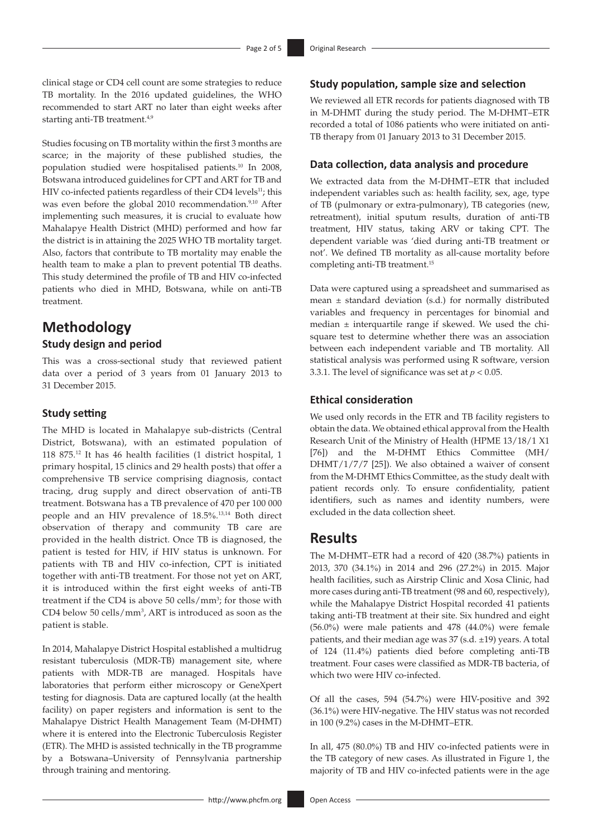clinical stage or CD4 cell count are some strategies to reduce TB mortality. In the 2016 updated guidelines, the WHO recommended to start ART no later than eight weeks after starting anti-TB treatment.<sup>4,9</sup>

Studies focusing on TB mortality within the first 3 months are scarce; in the majority of these published studies, the population studied were hospitalised patients.10 In 2008, Botswana introduced guidelines for CPT and ART for TB and HIV co-infected patients regardless of their CD4 levels<sup>11</sup>; this was even before the global 2010 recommendation.<sup>9,10</sup> After implementing such measures, it is crucial to evaluate how Mahalapye Health District (MHD) performed and how far the district is in attaining the 2025 WHO TB mortality target. Also, factors that contribute to TB mortality may enable the health team to make a plan to prevent potential TB deaths. This study determined the profile of TB and HIV co-infected patients who died in MHD, Botswana, while on anti-TB treatment.

# **Methodology**

### **Study design and period**

This was a cross-sectional study that reviewed patient data over a period of 3 years from 01 January 2013 to 31 December 2015.

### **Study setting**

The MHD is located in Mahalapye sub-districts (Central District, Botswana), with an estimated population of 118 875.12 It has 46 health facilities (1 district hospital, 1 primary hospital, 15 clinics and 29 health posts) that offer a comprehensive TB service comprising diagnosis, contact tracing, drug supply and direct observation of anti-TB treatment. Botswana has a TB prevalence of 470 per 100 000 people and an HIV prevalence of 18.5%. 13,14 Both direct observation of therapy and community TB care are provided in the health district. Once TB is diagnosed, the patient is tested for HIV, if HIV status is unknown. For patients with TB and HIV co-infection, CPT is initiated together with anti-TB treatment. For those not yet on ART, it is introduced within the first eight weeks of anti-TB treatment if the CD4 is above 50 cells/mm<sup>3</sup>; for those with CD4 below 50 cells/mm3 , ART is introduced as soon as the patient is stable.

In 2014, Mahalapye District Hospital established a multidrug resistant tuberculosis (MDR-TB) management site, where patients with MDR-TB are managed. Hospitals have laboratories that perform either microscopy or GeneXpert testing for diagnosis. Data are captured locally (at the health facility) on paper registers and information is sent to the Mahalapye District Health Management Team (M-DHMT) where it is entered into the Electronic Tuberculosis Register (ETR). The MHD is assisted technically in the TB programme by a Botswana–University of Pennsylvania partnership through training and mentoring.

We reviewed all ETR records for patients diagnosed with TB in M-DHMT during the study period. The M-DHMT–ETR recorded a total of 1086 patients who were initiated on anti-TB therapy from 01 January 2013 to 31 December 2015.

### **Data collection, data analysis and procedure**

**Study population, sample size and selection**

We extracted data from the M-DHMT–ETR that included independent variables such as: health facility, sex, age, type of TB (pulmonary or extra-pulmonary), TB categories (new, retreatment), initial sputum results, duration of anti-TB treatment, HIV status, taking ARV or taking CPT. The dependent variable was 'died during anti-TB treatment or not'. We defined TB mortality as all-cause mortality before completing anti-TB treatment.15

Data were captured using a spreadsheet and summarised as mean ± standard deviation (s.d.) for normally distributed variables and frequency in percentages for binomial and median ± interquartile range if skewed. We used the chisquare test to determine whether there was an association between each independent variable and TB mortality. All statistical analysis was performed using R software, version 3.3.1. The level of significance was set at  $p < 0.05$ .

### **Ethical consideration**

We used only records in the ETR and TB facility registers to obtain the data. We obtained ethical approval from the Health Research Unit of the Ministry of Health (HPME 13/18/1 X1 [76]) and the M-DHMT Ethics Committee (MH/ DHMT/1/7/7 [25]). We also obtained a waiver of consent from the M-DHMT Ethics Committee, as the study dealt with patient records only. To ensure confidentiality, patient identifiers, such as names and identity numbers, were excluded in the data collection sheet.

## **Results**

The M-DHMT–ETR had a record of 420 (38.7%) patients in 2013, 370 (34.1%) in 2014 and 296 (27.2%) in 2015. Major health facilities, such as Airstrip Clinic and Xosa Clinic, had more cases during anti-TB treatment (98 and 60, respectively), while the Mahalapye District Hospital recorded 41 patients taking anti-TB treatment at their site. Six hundred and eight (56.0%) were male patients and 478 (44.0%) were female patients, and their median age was 37 (s.d. ±19) years. A total of 124 (11.4%) patients died before completing anti-TB treatment. Four cases were classified as MDR-TB bacteria, of which two were HIV co-infected.

Of all the cases, 594 (54.7%) were HIV-positive and 392 (36.1%) were HIV-negative. The HIV status was not recorded in 100 (9.2%) cases in the M-DHMT–ETR.

In all, 475 (80.0%) TB and HIV co-infected patients were in the TB category of new cases. As illustrated in Figure 1, the majority of TB and HIV co-infected patients were in the age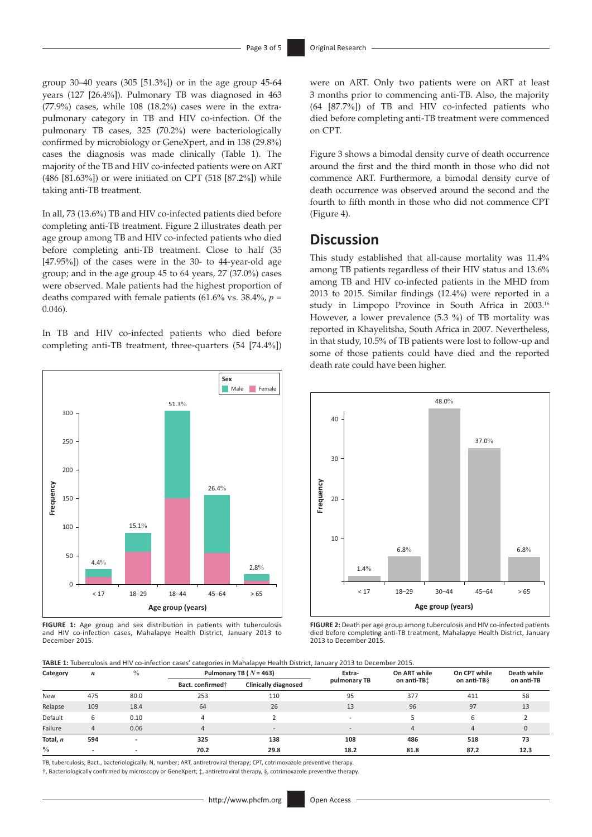group 30–40 years (305 [51.3%]) or in the age group 45-64 years (127 [26.4%]). Pulmonary TB was diagnosed in 463 (77.9%) cases, while 108 (18.2%) cases were in the extrapulmonary category in TB and HIV co-infection. Of the pulmonary TB cases, 325 (70.2%) were bacteriologically confirmed by microbiology or GeneXpert, and in 138 (29.8%) cases the diagnosis was made clinically (Table 1). The majority of the TB and HIV co-infected patients were on ART (486 [81.63%]) or were initiated on CPT (518 [87.2%]) while taking anti-TB treatment.

In all, 73 (13.6%) TB and HIV co-infected patients died before completing anti-TB treatment. Figure 2 illustrates death per age group among TB and HIV co-infected patients who died before completing anti-TB treatment. Close to half (35 [47.95%]) of the cases were in the 30- to 44-year-old age group; and in the age group 45 to 64 years, 27 (37.0%) cases were observed. Male patients had the highest proportion of deaths compared with female patients  $(61.6\% \text{ vs. } 38.4\%, p =$ 0.046).

In TB and HIV co-infected patients who died before completing anti-TB treatment, three-quarters (54 [74.4%])



**FIGURE 1:** Age group and sex distribution in patients with tuberculosis and HIV co-infection cases, Mahalapye Health District, January 2013 to December 2015.

were on ART. Only two patients were on ART at least 3 months prior to commencing anti-TB. Also, the majority (64 [87.7%]) of TB and HIV co-infected patients who died before completing anti-TB treatment were commenced on CPT.

Figure 3 shows a bimodal density curve of death occurrence around the first and the third month in those who did not commence ART. Furthermore, a bimodal density curve of death occurrence was observed around the second and the fourth to fifth month in those who did not commence CPT (Figure 4).

# **Discussion**

This study established that all-cause mortality was 11.4% among TB patients regardless of their HIV status and 13.6% among TB and HIV co-infected patients in the MHD from 2013 to 2015. Similar findings (12.4%) were reported in a study in Limpopo Province in South Africa in 2003.16 However, a lower prevalence (5.3 %) of TB mortality was reported in Khayelitsha, South Africa in 2007. Nevertheless, in that study, 10.5% of TB patients were lost to follow-up and some of those patients could have died and the reported death rate could have been higher.



**FIGURE 2:** Death per age group among tuberculosis and HIV co-infected patients died before completing anti-TB treatment, Mahalapye Health District, January 2013 to December 2015.

**TABLE 1:** Tuberculosis and HIV co-infection cases' categories in Mahalapye Health District, January 2013 to December 2015.

| Category      | $\boldsymbol{n}$ | $\%$ | Pulmonary TB ( $N = 463$ )   |                          | Extra-       | On ART while            | On CPT while   | Death while |
|---------------|------------------|------|------------------------------|--------------------------|--------------|-------------------------|----------------|-------------|
|               |                  |      | Bact. confirmed <sup>+</sup> | Clinically diagnosed     | pulmonary TB | on anti-TB <sup>+</sup> | on anti-TBS    | on anti-TB  |
| <b>New</b>    | 475              | 80.0 | 253                          | 110                      | 95           | 377                     | 411            | 58          |
| Relapse       | 109              | 18.4 | 64                           | 26                       | 13           | 96                      | 97             | 13          |
| Default       | 6                | 0.10 | 4                            |                          | $\sim$       |                         | 6              |             |
| Failure       |                  | 0.06 | $\overline{a}$               | $\overline{\phantom{a}}$ | $\sim$       | $\Delta$                | $\overline{4}$ | $\Omega$    |
| Total, n      | 594              |      | 325                          | 138                      | 108          | 486                     | 518            | 73          |
| $\frac{0}{0}$ |                  |      | 70.2                         | 29.8                     | 18.2         | 81.8                    | 87.2           | 12.3        |

TB, tuberculosis; Bact., bacteriologically; N, number; ART, antiretroviral therapy; CPT, cotrimoxazole preventive therapy.

†, Bacteriologically confirmed by microscopy or GeneXpert; ‡, antiretroviral therapy, §, cotrimoxazole preventive therapy.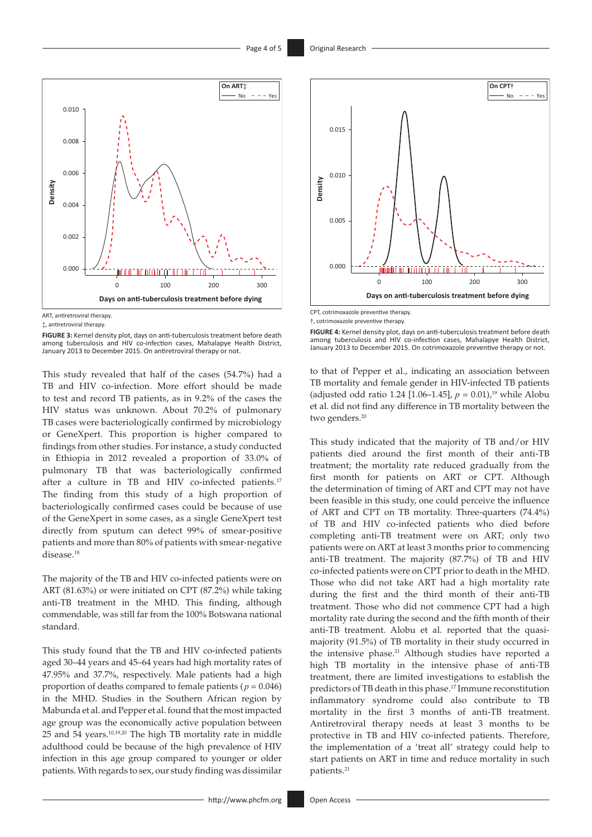

ART, antiretroviral therapy

**FIGURE 3:** Kernel density plot, days on anti-tuberculosis treatment before death among tuberculosis and HIV co-infection cases, Mahalapye Health District, January 2013 to December 2015. On antiretroviral therapy or not.

This study revealed that half of the cases (54.7%) had a TB and HIV co-infection. More effort should be made to test and record TB patients, as in 9.2% of the cases the HIV status was unknown. About 70.2% of pulmonary TB cases were bacteriologically confirmed by microbiology or GeneXpert. This proportion is higher compared to findings from other studies. For instance, a study conducted in Ethiopia in 2012 revealed a proportion of 33.0% of pulmonary TB that was bacteriologically confirmed after a culture in TB and HIV co-infected patients.<sup>17</sup> The finding from this study of a high proportion of bacteriologically confirmed cases could be because of use of the GeneXpert in some cases, as a single GeneXpert test directly from sputum can detect 99% of smear-positive patients and more than 80% of patients with smear-negative disease.<sup>18</sup>

The majority of the TB and HIV co-infected patients were on ART (81.63%) or were initiated on CPT (87.2%) while taking anti-TB treatment in the MHD. This finding, although commendable, was still far from the 100% Botswana national standard.

This study found that the TB and HIV co-infected patients aged 30–44 years and 45–64 years had high mortality rates of 47.95% and 37.7%, respectively. Male patients had a high proportion of deaths compared to female patients ( $p = 0.046$ ) in the MHD. Studies in the Southern African region by Mabunda et al. and Pepper et al. found that the most impacted age group was the economically active population between 25 and 54 years.10,19,20 The high TB mortality rate in middle adulthood could be because of the high prevalence of HIV infection in this age group compared to younger or older patients. With regards to sex, our study finding was dissimilar



CPT, cotrimoxazole preventive therapy.

**FIGURE 4:** Kernel density plot, days on anti-tuberculosis treatment before death among tuberculosis and HIV co-infection cases, Mahalapye Health District, January 2013 to December 2015. On cotrimoxazole preventive therapy or not.

to that of Pepper et al., indicating an association between TB mortality and female gender in HIV-infected TB patients (adjusted odd ratio 1.24 [1.06–1.45],  $p = 0.01$ ,<sup>19</sup> while Alobu et al. did not find any difference in TB mortality between the two genders.<sup>20</sup>

This study indicated that the majority of TB and/or HIV patients died around the first month of their anti-TB treatment; the mortality rate reduced gradually from the first month for patients on ART or CPT. Although the determination of timing of ART and CPT may not have been feasible in this study, one could perceive the influence of ART and CPT on TB mortality. Three-quarters (74.4%) of TB and HIV co-infected patients who died before completing anti-TB treatment were on ART; only two patients were on ART at least 3 months prior to commencing anti-TB treatment. The majority (87.7%) of TB and HIV co-infected patients were on CPT prior to death in the MHD. Those who did not take ART had a high mortality rate during the first and the third month of their anti-TB treatment. Those who did not commence CPT had a high mortality rate during the second and the fifth month of their anti-TB treatment. Alobu et al. reported that the quasimajority (91.5%) of TB mortality in their study occurred in the intensive phase.<sup>21</sup> Although studies have reported a high TB mortality in the intensive phase of anti-TB treatment, there are limited investigations to establish the predictors of TB death in this phase.17 Immune reconstitution inflammatory syndrome could also contribute to TB mortality in the first 3 months of anti-TB treatment. Antiretroviral therapy needs at least 3 months to be protective in TB and HIV co-infected patients. Therefore, the implementation of a 'treat all' strategy could help to start patients on ART in time and reduce mortality in such patients.<sup>21</sup>

<sup>‡</sup>, antiretroviral therapy.

<sup>†</sup>, cotrimoxazole preventive therapy.